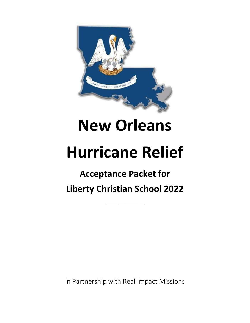

# **New Orleans**

# **Hurricane Relief**

# **Acceptance Packet for Liberty Christian School 2022**

\_\_\_\_\_\_\_\_\_\_\_\_

In Partnership with Real Impact Missions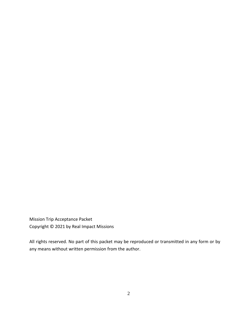Mission Trip Acceptance Packet Copyright © 2021 by Real Impact Missions

All rights reserved. No part of this packet may be reproduced or transmitted in any form or by any means without written permission from the author.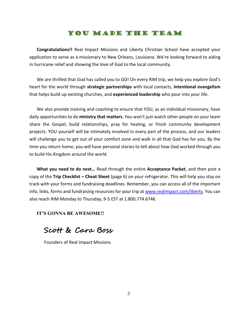#### You Made The Team

**Congratulations!!** Real Impact Missions and Liberty Christian School have accepted your application to serve as a missionary to New Orleans, Louisiana. We're looking forward to aiding in hurricane relief and showing the love of God to the local community.

We are thrilled that God has called you to GO! On every RIM trip, we help you explore God's heart for the world through **strategic partnerships** with local contacts, **intentional evangelism** that helps build up existing churches, and **experienced leadership** who pour into your life.

We also provide training and coaching to ensure that YOU, as an individual missionary, have daily opportunities to do **ministry that matters**. You won't just watch other people on your team share the Gospel, build relationships, pray for healing, or finish community development projects. YOU yourself will be intimately involved in every part of the process, and our leaders will challenge you to get out of your comfort zone and walk in all that God has for you. By the time you return home, you will have personal stories to tell about how God worked through you to build His Kingdom around the world.

**What you need to do next…** Read through the entire **Acceptance Packet**, and then post a copy of the **Trip Checklist – Cheat Sheet** (page 6) on your refrigerator. This will help you stay on track with your forms and fundraising deadlines. Remember, you can access all of the important info, links, forms and fundraising resources for your trip a[t www.realimpact.com/l](http://www.realimpact.com/)iberty. You can also reach RIM Monday to Thursday, 9-5 EST at 1.800.774.6746.

**IT'S GONNA BE AWESOME!!**

**Scott & Cara Boss**

Founders of Real Impact Missions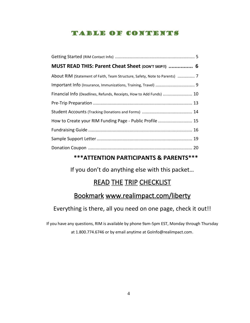# Table of Contents

| MUST READ THIS: Parent Cheat Sheet (DON'T SKIP!!)  6                       |  |
|----------------------------------------------------------------------------|--|
| About RIM (Statement of Faith, Team Structure, Safety, Note to Parents)  7 |  |
|                                                                            |  |
| Financial Info (Deadlines, Refunds, Receipts, How to Add Funds)  10        |  |
|                                                                            |  |
|                                                                            |  |
| How to Create your RIM Funding Page - Public Profile  15                   |  |
|                                                                            |  |
|                                                                            |  |
|                                                                            |  |

# **\*\*\*ATTENTION PARTICIPANTS & PARENTS\*\*\***

If you don't do anything else with this packet…

# **READ THE TRIP CHECKLIST**

# Bookmark www.realimpact.com/liberty

# Everything is there, all you need on one page, check it out!!

If you have any questions, RIM is available by phone 9am-5pm EST, Monday through Thursday at 1.800.774.6746 or by email anytime at GoInfo@realimpact.com.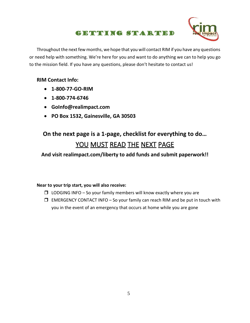# Getting Started



Throughout the next few months, we hope that you will contact RIM if you have any questions or need help with something. We're here for you and want to do anything we can to help you go to the mission field. If you have any questions, please don't hesitate to contact us!

#### **RIM Contact Info:**

- **1-800-77-GO-RIM**
- **1-800-774-6746**
- **GoInfo@realimpact.com**
- **PO Box 1532, Gainesville, GA 30503**

# **On the next page is a 1-page, checklist for everything to do…** YOU MUST READ THE NEXT PAGE

#### **And visit realimpact.com/liberty to add funds and submit paperwork!!**

#### **Near to your trip start, you will also receive:**

- $\Box$  LODGING INFO So your family members will know exactly where you are
- $\Box$  EMERGENCY CONTACT INFO So your family can reach RIM and be put in touch with you in the event of an emergency that occurs at home while you are gone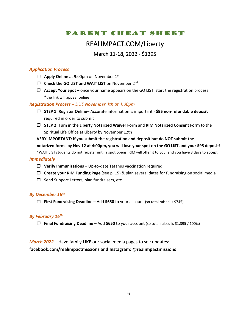# PARENT CHEAT SHEET

# REALIMPACT.COM/Liberty

#### March 11-18, 2022 - \$1395

#### *Application Process*

- **Apply Online** at 9:00pm on November 1<sup>st</sup>
- **I** Check the GO LIST and WAIT LIST on November 2<sup>nd</sup>
- **Accept Your Spot –** once your name appears on the GO LIST, start the registration process **\***the link will appear online

#### *Registration Process – DUE November 4th at 4:00pm*

- **STEP 1: Register Online** Accurate information is important **\$95 non-refundable deposit** required in order to submit
- **STEP 2:** Turn in the **Liberty Notarized Waiver Form** and **RIM Notarized Consent Form** to the Spiritual Life Office at Liberty by November 12th

**VERY IMPORTANT: If you submit the registration and deposit but do NOT submit the notarized forms by Nov 12 at 4:00pm, you will lose your spot on the GO LIST and your \$95 deposit!** \*WAIT LIST students do not register until a spot opens. RIM will offer it to you, and you have 3 days to accept.

#### *Immediately*

- **Verify Immunizations –** Up-to-date Tetanus vaccination required
- **Create your RIM Funding Page** (see p. 15) & plan several dates for fundraising on social media
- $\Box$  Send Support Letters, plan fundraisers, etc.

#### *By December 16th*

**First Fundraising Deadline** – Add **\$650** to your account (so total raised is \$745)

#### *By February 16 th*

**Final Fundraising Deadline** – Add **\$650** to your account (so total raised is \$1,395 / 100%)

#### *March 2022 –* Have family **LIKE** our social media pages to see updates:

**facebook.com/realimpactmissions and Instagram: @realimpactmissions**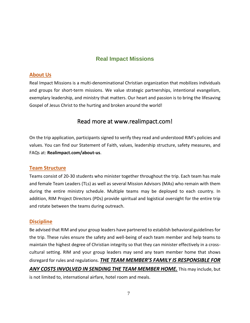# **Real Impact Missions**

#### **About Us**

Real Impact Missions is a multi-denominational Christian organization that mobilizes individuals and groups for short-term missions. We value strategic partnerships, intentional evangelism, exemplary leadership, and ministry that matters. Our heart and passion is to bring the lifesaving Gospel of Jesus Christ to the hurting and broken around the world!

# Read more at www.realimpact.com!

On the trip application, participants signed to verify they read and understood RIM's policies and values. You can find our Statement of Faith, values, leadership structure, safety measures, and FAQs at: **Realimpact.com/about-us**.

#### **Team Structure**

Teams consist of 20-30 students who minister together throughout the trip. Each team has male and female Team Leaders (TLs) as well as several Mission Advisors (MAs) who remain with them during the entire ministry schedule. Multiple teams may be deployed to each country. In addition, RIM Project Directors (PDs) provide spiritual and logistical oversight for the entire trip and rotate between the teams during outreach.

#### **Discipline**

Be advised that RIM and your group leaders have partnered to establish behavioral guidelines for the trip. These rules ensure the safety and well-being of each team member and help teams to maintain the highest degree of Christian integrity so that they can minister effectively in a crosscultural setting. RIM and your group leaders may send any team member home that shows disregard for rules and regulations. *THE TEAM MEMBER'S FAMILY IS RESPONSIBLE FOR ANY COSTS INVOLVED IN SENDING THE TEAM MEMBER HOME.* This may include, but is not limited to, international airfare, hotel room and meals.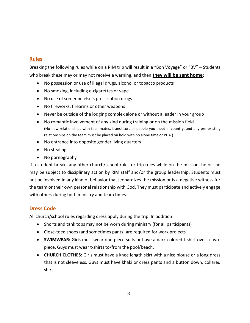#### **Rules**

Breaking the following rules while on a RIM trip will result in a "Bon Voyage" or "BV" – Students who break these may or may not receive a warning, and then **they will be sent home:**

- No possession or use of illegal drugs, alcohol or tobacco products
- No smoking, including e-cigarettes or vape
- No use of someone else's prescription drugs
- No fireworks, firearms or other weapons
- Never be outside of the lodging complex alone or without a leader in your group
- No romantic involvement of any kind during training or on the mission field (No new relationships with teammates, translators or people you meet in country, and any pre-existing relationships on the team must be placed on hold with no alone time or PDA.)
- No entrance into opposite gender living quarters
- No stealing
- No pornography

If a student breaks any other church/school rules or trip rules while on the mission, he or she may be subject to disciplinary action by RIM staff and/or the group leadership. Students must not be involved in any kind of behavior that jeopardizes the mission or is a negative witness for the team or their own personal relationship with God. They must participate and actively engage with others during both ministry and team times.

#### **Dress Code**

All church/school rules regarding dress apply during the trip. In addition:

- Shorts and tank tops may not be worn during ministry (for all participants)
- Close-toed shoes (and sometimes pants) are required for work projects
- **SWIMWEAR:** Girls must wear one-piece suits or have a dark-colored t-shirt over a twopiece. Guys must wear t-shirts to/from the pool/beach.
- **CHURCH CLOTHES:** Girls must have a knee length skirt with a nice blouse or a long dress that is not sleeveless. Guys must have khaki or dress pants and a button down, collared shirt.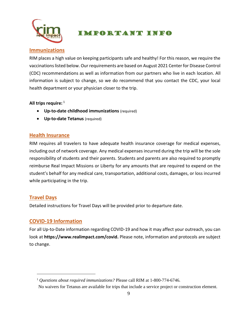

# Important Info

#### **Immunizations**

RIM places a high value on keeping participants safe and healthy! For this reason, we require the vaccinations listed below. Our requirements are based on August 2021 Center for Disease Control (CDC) recommendations as well as information from our partners who live in each location. All information is subject to change, so we do recommend that you contact the CDC, your local health department or your physician closer to the trip.

#### **All trips require:** <sup>1</sup>

- **Up-to-date childhood immunizations** (required)
- **Up-to-date Tetanus** (required)

#### **Health Insurance**

RIM requires all travelers to have adequate health insurance coverage for medical expenses, including out of network coverage. Any medical expenses incurred during the trip will be the sole responsibility of students and their parents. Students and parents are also required to promptly reimburse Real Impact Missions or Liberty for any amounts that are required to expend on the student's behalf for any medical care, transportation, additional costs, damages, or loss incurred while participating in the trip.

#### **Travel Days**

Detailed instructions for Travel Days will be provided prior to departure date.

#### **COVID-19 Information**

For all Up-to-Date information regarding COVID-19 and how it may affect your outreach, you can look at **https://www.realimpact.com/covid.** Please note, information and protocols are subject to change.

<sup>&</sup>lt;sup>1</sup> Questions about required immunizations? Please call RIM at 1-800-774-6746.

No waivers for Tetanus are available for trips that include a service project or construction element.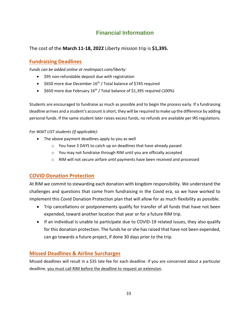# **Financial Information**

#### The cost of the **March 11-18, 2022** Liberty mission trip is **\$1,395.**

#### **Fundraising Deadlines**

*Funds can be added online at realimpact.com/liberty:*

- \$95 non-refundable deposit due with registration
- $\bullet$  \$650 more due December 16<sup>th</sup> / Total balance of \$745 required
- $\bullet$  \$650 more due February 16<sup>th</sup> / Total balance of \$1,395 required (100%)

Students are encouraged to fundraise as much as possible and to begin the process early. If a fundraising deadline arrives and a student's account is short, they will be required to make up the difference by adding personal funds. If the same student later raises excess funds, no refunds are available per IRS regulations.

#### *For WAIT LIST students (if applicable):*

- The above payment deadlines apply to you as well
	- o You have 3 DAYS to catch up on deadlines that have already passed
	- o You may not fundraise through RIM until you are officially accepted
	- o RIM will not secure airfare until payments have been received and processed

#### **COVID Donation Protection**

At RIM we commit to stewarding each donation with kingdom responsibility. We understand the challenges and questions that come from fundraising in the Covid era, so we have worked to implement this Covid Donation Protection plan that will allow for as much flexibility as possible.

- Trip cancellations or postponements qualify for transfer of all funds that have not been expended, toward another location that year or for a future RIM trip.
- If an individual is unable to participate due to COVID-19 related issues, they also qualify for this donation protection. The funds he or she has raised that have not been expended, can go towards a future project, if done 30 days prior to the trip.

#### **Missed Deadlines & Airline Surcharges**

Missed deadlines will result in a \$35 late fee for each deadline. If you are concerned about a particular deadline, you must call RIM before the deadline to request an extension.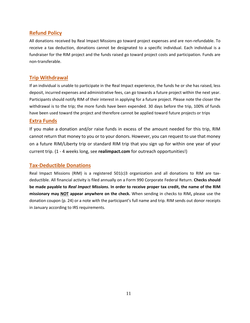#### **Refund Policy**

All donations received by Real Impact Missions go toward project expenses and are non-refundable. To receive a tax deduction, donations cannot be designated to a specific individual. Each individual is a fundraiser for the RIM project and the funds raised go toward project costs and participation. Funds are non-transferable.

#### **Trip Withdrawal**

If an individual is unable to participate in the Real Impact experience, the funds he or she has raised, less deposit, incurred expenses and administrative fees, can go towards a future project within the next year. Participants should notify RIM of their interest in applying for a future project. Please note the closer the withdrawal is to the trip; the more funds have been expended. 30 days before the trip, 100% of funds have been used toward the project and therefore cannot be applied toward future projects or trips

#### **Extra Funds**

If you make a donation and/or raise funds in excess of the amount needed for this trip, RIM cannot return that money to you or to your donors. However, you can request to use that money on a future RIM/Liberty trip or standard RIM trip that you sign up for within one year of your current trip. (1 - 4 weeks long, see **realimpact.com** for outreach opportunities!)

#### **Tax-Deductible Donations**

Real Impact Missions (RIM) is a registered 501(c)3 organization and all donations to RIM are taxdeductible. All financial activity is filed annually on a Form 990 Corporate Federal Return. **Checks should be made payable to** *Real Impact Missions***. In order to receive proper tax credit, the name of the RIM missionary may NOT appear anywhere on the check.** When sending in checks to RIM**,** please use the donation coupon (p. 24) or a note with the participant's full name and trip. RIM sends out donor receipts in January according to IRS requirements.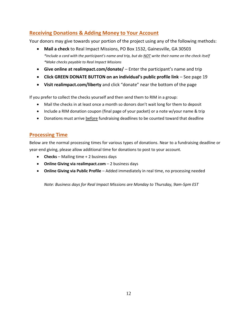### **Receiving Donations & Adding Money to Your Account**

Your donors may give towards your portion of the project using any of the following methods:

- **Mail a check** to Real Impact Missions, PO Box 1532, Gainesville, GA 30503 *\*Include a card with the participant's name and trip, but do NOT write their name on the check itself \*Make checks payable to Real Impact Missions*
- **Give online at realimpact.com/donate/**  Enter the participant's name and trip
- **Click GREEN DONATE BUTTON on an individual's public profile link** See page 19
- **Visit realimpact.com/liberty** and click "donate" near the bottom of the page

If you prefer to collect the checks yourself and then send them to RIM in a group:

- Mail the checks in at least once a month so donors don't wait long for them to deposit
- Include a RIM donation coupon (final page of your packet) or a note w/your name & trip
- Donations must arrive **before** fundraising deadlines to be counted toward that deadline

#### **Processing Time**

Below are the normal processing times for various types of donations. Near to a fundraising deadline or year-end giving, please allow additional time for donations to post to your account.

- **Checks** Mailing time + 2 business days
- **Online Giving via realimpact.com** 2 business days
- **Online Giving via Public Profile**  Added immediately in real time, no processing needed

*Note: Business days for Real Impact Missions are Monday to Thursday, 9am-5pm EST*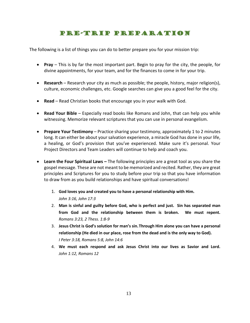# Pre-Trip Preparation

The following is a list of things you can do to better prepare you for your mission trip:

- **Pray** This is by far the most important part. Begin to pray for the city, the people, for divine appointments, for your team, and for the finances to come in for your trip.
- **Research** Research your city as much as possible; the people, history, major religion(s), culture, economic challenges, etc. Google searches can give you a good feel for the city.
- **Read** Read Christian books that encourage you in your walk with God.
- **Read Your Bible** Especially read books like Romans and John, that can help you while witnessing. Memorize relevant scriptures that you can use in personal evangelism.
- **Prepare Your Testimony** Practice sharing your testimony, approximately 1 to 2 minutes long. It can either be about your salvation experience, a miracle God has done in your life, a healing, or God's provision that you've experienced. Make sure it's personal. Your Project Directors and Team Leaders will continue to help and coach you.
- **Learn the Four Spiritual Laws –** The following principles are a great tool as you share the gospel message. These are not meant to be memorized and recited. Rather, they are great principles and Scriptures for you to study before your trip so that you have information to draw from as you build relationships and have spiritual conversations!
	- 1. **God loves you and created you to have a personal relationship with Him.** *John 3:16, John 17:3*
	- 2. **Man is sinful and guilty before God, who is perfect and just. Sin has separated man from God and the relationship between them is broken. We must repent.** *Romans 3:23, 2 Thess. 1:8-9*
	- 3. **Jesus Christ is God's solution for man's sin.Through Him alone you can have a personal relationship (He died in our place, rose from the dead and is the only way to God).** *I Peter 3:18, Romans 5:8, John 14:6*
	- 4. **We must each respond and ask Jesus Christ into our lives as Savior and Lord.** *John 1:12, Romans 12*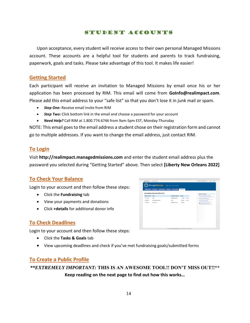#### Student Accounts

Upon acceptance, every student will receive access to their own personal Managed Missions account. These accounts are a helpful tool for students and parents to track fundraising, paperwork, goals and tasks. Please take advantage of this tool. It makes life easier!

#### **Getting Started**

Each participant will receive an invitation to Managed Missions by email once his or her application has been processed by RIM. This email will come from **GoInfo@realimpact.com**. Please add this email address to your "safe list" so that you don't lose it in junk mail or spam.

- *Step One:* Receive email invite from RIM
- *Step Two:* Click bottom link in the email and choose a password for your account
- *Need Help?* Call RIM at 1.800.774.6746 from 9am-5pm EST, Monday-Thursday

NOTE: This email goes to the email address a student chose on their registration form and cannot go to multiple addresses. If you want to change the email address, just contact RIM.

#### **To Login**

Visit **http://realimpact.managedmissions.com** and enter the student email address plus the password you selected during "Getting Started" above. Then select **[Liberty New Orleans 2022]**

#### **To Check Your Balance**

Login to your account and then follow these steps:

- Click the **Fundraising** tab
- View your payments and donations
- Click **+details** for additional donor info

#### **To Check Deadlines**

Login to your account and then follow these steps:

- Click the **Tasks & Goals** tab
- View upcoming deadlines and check if you've met fundraising goals/submitted forms

#### **To Create a Public Profile**

*\*\*EXTREMELY IMPORTANT:* **THIS IS AN AWESOME TOOL!! DON'T MISS OUT!!\*\* Keep reading on the next page to find out how this works…**

| <b>Mission Trips</b>  | <b>Trip Details</b><br>Montings<br><b>Team Members</b> | <b>Taxks &amp; Costs</b> | <b>Fundralsing</b> |            |                                                                                                                                                                                                                                                                                                               |
|-----------------------|--------------------------------------------------------|--------------------------|--------------------|------------|---------------------------------------------------------------------------------------------------------------------------------------------------------------------------------------------------------------------------------------------------------------------------------------------------------------|
|                       | Hanna Miecznikowski (\$700 of \$0)                     |                          |                    |            | <b>Related Options</b>                                                                                                                                                                                                                                                                                        |
| <b>Cate Processed</b> | <b>Donor</b>                                           | <b>Reference Number</b>  | Attempt            |            | all View Contibution Summary<br>View involving number by learn modes.<br>di Vien All Contributions<br>Detailed for all at relationisms suspiced<br><b>ITS Email Team Member</b><br>Danal art around by this basic meetings.<br><b>ST</b> Export Contribution Ciata<br>Expert excellential state to a con-fits |
| 11/11/2014            | Eate                                                   | 5555pypi-aumb            | \$9.00             | $-0$ ctain |                                                                                                                                                                                                                                                                                                               |
| 11/24/2014            | Karen Macznikowski                                     | 2815                     | \$100.00           | -details   |                                                                                                                                                                                                                                                                                                               |
|                       |                                                        |                          |                    |            |                                                                                                                                                                                                                                                                                                               |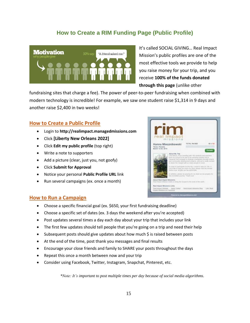#### **How to Create a RIM Funding Page (Public Profile)**



It's called SOCIAL GIVING… Real Impact Mission's public profiles are one of the most effective tools we provide to help you raise money for your trip, and you receive **100% of the funds donated through this page** (unlike other

fundraising sites that charge a fee). The power of peer-to-peer fundraising when combined with modern technology is incredible! For example, we saw one student raise \$1,314 in 9 days and another raise \$2,400 in two weeks!

#### **How to Create a Public Profile**

- Login to **http://realimpact.managedmissions.com**
- Click **[Liberty New Orleans 2022]**
- Click **Edit my public profile** (top right)
- Write a note to supporters
- Add a picture (clear, just you, not goofy)
- Click **Submit for Approval**
- Notice your personal **Public Profile URL** link
- Run several campaigns (ex. once a month)



#### **How to Run a Campaign**

- Choose a specific financial goal (ex. \$650, your first fundraising deadline)
- Choose a specific set of dates (ex. 3 days the weekend after you're accepted)
- Post updates several times a day each day about your trip that includes your link
- The first few updates should tell people that you're going on a trip and need their help
- Subsequent posts should give updates about how much \$ is raised between posts
- At the end of the time, post thank you messages and final results
- Encourage your close friends and family to SHARE your posts throughout the days
- Repeat this once a month between now and your trip
- Consider using Facebook, Twitter, Instagram, Snapchat, Pinterest, etc.

*\*Note: It's important to post multiple times per day because of social media algorithms.*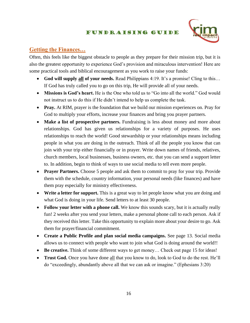#### Fundraising Guide



#### **Getting the Finances…**

Often, this feels like the biggest obstacle to people as they prepare for their mission trip, but it is also the greatest opportunity to experience God's provision and miraculous intervention! Here are some practical tools and biblical encouragement as you work to raise your funds:

- **God will supply all of your needs.** Read Philippians 4:19. It's a promise! Cling to this… If God has truly called you to go on this trip, He will provide all of your needs.
- **Missions is God's heart.** He is the One who told us to "Go into all the world." God would not instruct us to do this if He didn't intend to help us complete the task.
- **Pray.** At RIM, prayer is the foundation that we build our mission experiences on. Pray for God to multiply your efforts, increase your finances and bring you prayer partners.
- **Make a list of prospective partners.** Fundraising is less about money and more about relationships. God has given us relationships for a variety of purposes. He uses relationships to reach the world! Good stewardship or your relationships means including people in what you are doing in the outreach. Think of all the people you know that can join with your trip either financially or in prayer. Write down names of friends, relatives, church members, local businesses, business owners, etc. that you can send a support letter to. In addition, begin to think of ways to use social media to tell even more people.
- **Prayer Partners.** Choose 5 people and ask them to commit to pray for your trip. Provide them with the schedule, country information, your personal needs (like finances) and have them pray especially for ministry effectiveness.
- **Write a letter for support.** This is a great way to let people know what you are doing and what God is doing in your life. Send letters to at least 30 people.
- **Follow your letter with a phone call.** We know this sounds scary, but it is actually really fun! 2 weeks after you send your letters, make a personal phone call to each person. Ask if they received this letter. Take this opportunity to explain more about your desire to go. Ask them for prayer/financial commitment.
- **Create a Public Profile and plan social media campaigns.** See page 13. Social media allows us to connect with people who want to join what God is doing around the world!!
- **Be creative.** Think of some different ways to get money... Check out page 15 for ideas!
- **Trust God.** Once you have done all that you know to do, look to God to do the rest. He'll do "exceedingly, abundantly above all that we can ask or imagine." (Ephesians 3:20)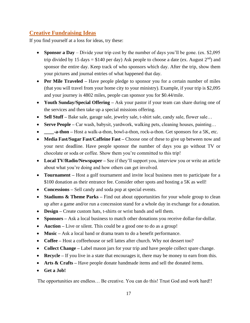#### **Creative Fundraising Ideas**

If you find yourself at a loss for ideas, try these:

- **Sponsor a Day** Divide your trip cost by the number of days you'll be gone. (ex. \$2,095) trip divided by 15 days = \$140 per day) Ask people to choose a date (ex. August  $2<sup>nd</sup>$ ) and sponsor the entire day. Keep track of who sponsors which day. After the trip, show them your pictures and journal entries of what happened that day.
- **Per Mile Traveled** Have people pledge to sponsor you for a certain number of miles (that you will travel from your home city to your ministry). Example, if your trip is \$2,095 and your journey is 4802 miles, people can sponsor you for \$0.44/mile.
- **Youth Sunday/Special Offering** Ask your pastor if your team can share during one of the services and then take up a special missions offering.
- **Sell Stuff** Bake sale, garage sale, jewelry sale, t-shirt sale, candy sale, flower sale...
- **Serve People** Car wash, babysit, yardwork, walking pets, cleaning houses, painting...
- **\_\_\_\_-a-thon** Host a walk-a-thon, bowl-a-thon, rock-a-thon. Get sponsors for a 5K, etc.
- **Media Fast/Sugar Fast/Caffeine Fast** Choose one of these to give up between now and your next deadline. Have people sponsor the number of days you go without TV or chocolate or soda or coffee. Show them you're committed to this trip!
- **Local TV/Radio/Newspaper –** See if they'll support you, interview you or write an article about what you're doing and how others can get involved.
- **Tournament** Host a golf tournament and invite local business men to participate for a \$100 donation as their entrance fee. Consider other spots and hosting a 5K as well!
- **Concessions** Sell candy and soda pop at special events.
- **Stadiums & Theme Parks** Find out about opportunities for your whole group to clean up after a game and/or run a concession stand for a whole day in exchange for a donation.
- **Design –** Create custom hats, t-shirts or wrist bands and sell them.
- **Sponsors –** Ask a local business to match other donations you receive dollar-for-dollar.
- **Auction** Live or silent. This could be a good one to do as a group!
- **Music** Ask a local band or drama team to do a benefit performance.
- **Coffee –** Host a coffeehouse or sell lattes after church. Why not dessert too?
- **Collect Change** Label mason jars for your trip and have people collect spare change.
- **Recycle** If you live in a state that encourages it, there may be money to earn from this.
- **Arts & Crafts** Have people donate handmade items and sell the donated items.
- **Get a Job!**

The opportunities are endless… Be creative. You can do this! Trust God and work hard!!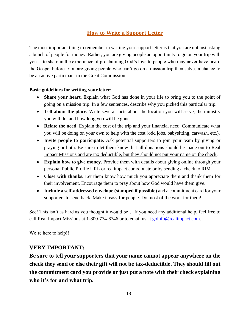# **How to Write a Support Letter**

The most important thing to remember in writing your support letter is that you are not just asking a bunch of people for money. Rather, you are giving people an opportunity to go on your trip with you… to share in the experience of proclaiming God's love to people who may never have heard the Gospel before. You are giving people who can't go on a mission trip themselves a chance to be an active participant in the Great Commission!

#### **Basic guidelines for writing your letter:**

- **Share your heart.** Explain what God has done in your life to bring you to the point of going on a mission trip. In a few sentences, describe why you picked this particular trip.
- **Tell about the place.** Write several facts about the location you will serve, the ministry you will do, and how long you will be gone.
- **Relate the need.** Explain the cost of the trip and your financial need. Communicate what you will be doing on your own to help with the cost (odd jobs, babysitting, carwash, etc.).
- **Invite people to participate.** Ask potential supporters to join your team by giving or praying or both. Be sure to let them know that all donations should be made out to Real Impact Missions and are tax deductible, but they should not put your name on the check.
- **Explain how to give money.** Provide them with details about giving online through your personal Public Profile URL or realimpact.com/donate or by sending a check to RIM.
- **Close with thanks.** Let them know how much you appreciate them and thank them for their involvement. Encourage them to pray about how God would have them give.
- **Include a self-addressed envelope (stamped if possible)** and a commitment card for your supporters to send back. Make it easy for people. Do most of the work for them!

See! This isn't as hard as you thought it would be… If you need any additional help, feel free to call Real Impact Missions at 1-800-774-6746 or to email us at [goinfo@realimpact.com.](mailto:goinfo@realimpact.com)

We're here to help!!

#### **VERY IMPORTANT:**

**Be sure to tell your supporters that your name cannot appear anywhere on the check they send or else their gift will not be tax-deductible. They should fill out the commitment card you provide or just put a note with their check explaining who it's for and what trip.**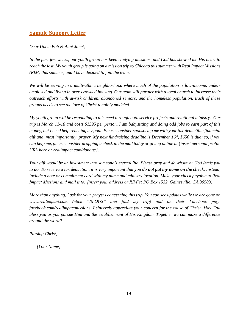#### **Sample Support Letter**

*Dear Uncle Bob & Aunt Janet,* 

*In the past few weeks, our youth group has been studying missions, and God has showed me His heart to reach the lost. My youth group is going on a mission trip to Chicago this summer with Real Impact Missions (RIM) this summer, and I have decided to join the team.*

*We will be serving in a multi-ethnic neighborhood where much of the population is low-income, underemployed and living in over-crowded housing. Our team will partner with a local church to increase their outreach efforts with at-risk children, abandoned seniors, and the homeless population. Each of these groups needs to see the love of Christ tangibly modeled.* 

*My youth group will be responding to this need through both service projects and relational ministry. Our trip is March 11-18 and costs \$1395 per person. I am babysitting and doing odd jobs to earn part of this money, but I need help reaching my goal. Please consider sponsoring me with your tax-deductible financial gift and, most importantly, prayer. My next fundraising deadline is December 16 th , \$650 is due; so, if you can help me, please consider dropping a check in the mail today or giving online at {insert personal profile URL here or realimpact.com/donate/}.* 

*Your gift would be an investment into someone's eternal life. Please pray and do whatever God leads you to do. To receive a tax deduction, it is very important that you do not put my name on the check. Instead, include a note or commitment card with my name and ministry location. Make your check payable to Real Impact Missions and mail it to: {insert your address or RIM's: PO Box 1532, Gainesville, GA 30503}.*

*More than anything, I ask for your prayers concerning this trip. You can see updates while we are gone on www.realimpact.com (click "BLOGS" and find my trip) and on their Facebook page facebook.com/realimpactmissions. I sincerely appreciate your concern for the cause of Christ. May God bless you as you pursue Him and the establishment of His Kingdom. Together we can make a difference around the world!*

*Pursing Christ,*

*{Your Name}*